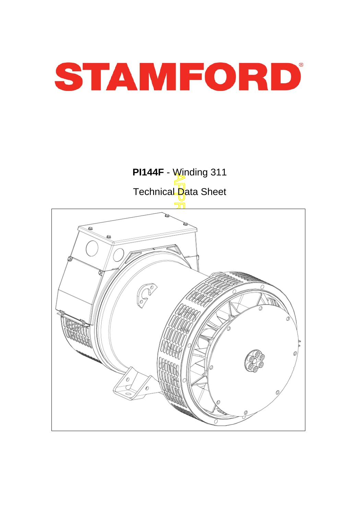

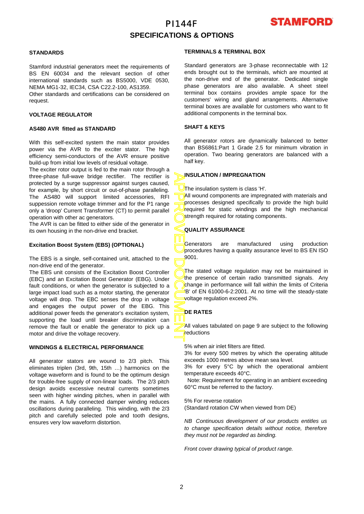

## **SPECIFICATIONS & OPTIONS**

### **STANDARDS**

Stamford industrial generators meet the requirements o f BS EN 60034 and the relevant section of other international standards such as BS5000, VDE 0530, NEMA MG1-32, IEC34, CSA C22.2-100, AS1359.

Other standards and certifications can be considered on request.

### **VOLTAGE REGULATOR**

#### **AS480 AVR fitted as STANDARD**

With this self-excited system the main stator provides power via the AVR to the exciter stator. The high efficiency semi-conductors of the AVR ensure positive build-up from initial low levels of residual voltage.

The exciter rotor output is fed to the main rotor through a three-phase full-wave bridge rectifier. The rectifier is protected by a surge suppressor against surges caused, for example, by short circuit or out-of-phase paralleling. The AS480 will support limited accessories, RFI suppession remote voltage trimmer and for the P1 range only a 'droop' Current Transformer (CT) to permit parallel operation with other ac generators.

The AVR is can be fitted to either side of the generator in its own housing in the non-drive end bracket.

### **Excitation Boost System (EBS) (OPTIONAL)**

The EBS is a single, self-contained unit, attached to the non-drive end of the generator.

The EBS unit consists of the Excitation Boost Controller (EBC) and an Excitation Boost Generator (EBG). Unde r fault conditions, or when the generator is subjected to a large impact load such as a motor starting, the generator voltage will drop. The EBC senses the drop in voltage and engages the output power of the EBG. This additional power feeds the generator's excitation system, supporting the load until breaker discrimination can remove the fault or enable the generator to pick up a motor and drive the voltage recovery.

### **WINDINGS & ELECTRICAL PERFORMANCE**

All generator stators are wound to 2/3 pitch. This eliminates triplen (3rd, 9th, 15th …) harmonics on the voltage waveform and is found to be the optimum design for trouble-free supply of non-linear loads. The 2/3 pitch design avoids excessive neutral currents sometimes seen with higher winding pitches, when in parallel with the mains. A fully connected damper winding reduces oscillations during paralleling. This winding, with the 2/3 pitch and carefully selected pole and tooth designs, ensures very low waveform distortion.

#### **TERMINALS & TERMINAL BOX**

Standard generators are 3-phase reconnectable with 12 ends brought out to the terminals, which are mounted at the non-drive end of the generator. Dedicated single phase generators are also available. A sheet steel terminal box contains provides ample space for the customers' wiring and gland arrangements. Alternative terminal boxes are available for customers who want to fit additional components in the terminal box.

### **SHAFT & KEYS**

All generator rotors are dynamically balanced to better than BS6861:Part 1 Grade 2.5 for minimum vibration in operation. Two bearing generators are balanced with a half key.

#### **INSULATION / IMPREGNATION**

The insulation system is class 'H'.

All wound components are impregnated with materials and processes designed specifically to provide the high build required for static windings and the high mechanical strength required for rotating components.

### **QUALITY ASSURANCE**

Generators are manufactured using production procedures having a quality assurance level to BS EN ISO 9001.

APPROVED DOCUMENT The stated voltage regulation may not be maintained in the presence of certain radio transmitted signals. Any change in performance will fall within the limits of Criteria 'B' of EN 61000-6-2:2001. At no time will the steady-state voltage regulation exceed 2%.

### **DE RATES**

All values tabulated on page 9 are subject to the following **r**eductions

5% when air inlet filters are fitted.

3% for every 500 metres by which the operating altitude exceeds 1000 metres above mean sea level.

3% for every 5°C by which the operational ambient temperature exceeds 40°C.

 Note: Requirement for operating in an ambient exceeding 60°C must be referred to the factory.

#### 5% For reverse rotation

(Standard rotation CW when viewed from DE)

*NB Continuous development of our products entitles us to change specification details without notice, therefore they must not be regarded as binding.* 

*Front cover drawing typical of product range.*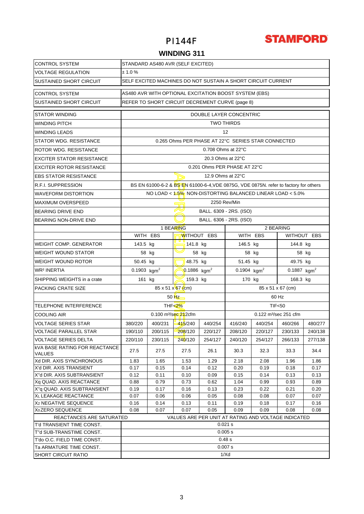

## **WINDING 311**

| <b>CONTROL SYSTEM</b>                                 | STANDARD AS480 AVR (SELF EXCITED)                            |                                                       |                                       |                   |                                                 |          |                                                                                      |         |  |  |  |  |
|-------------------------------------------------------|--------------------------------------------------------------|-------------------------------------------------------|---------------------------------------|-------------------|-------------------------------------------------|----------|--------------------------------------------------------------------------------------|---------|--|--|--|--|
| <b>VOLTAGE REGULATION</b>                             | ± 1.0%                                                       |                                                       |                                       |                   |                                                 |          |                                                                                      |         |  |  |  |  |
| <b>SUSTAINED SHORT CIRCUIT</b>                        | SELF EXCITED MACHINES DO NOT SUSTAIN A SHORT CIRCUIT CURRENT |                                                       |                                       |                   |                                                 |          |                                                                                      |         |  |  |  |  |
| <b>CONTROL SYSTEM</b>                                 |                                                              | AS480 AVR WITH OPTIONAL EXCITATION BOOST SYSTEM (EBS) |                                       |                   |                                                 |          |                                                                                      |         |  |  |  |  |
| <b>SUSTAINED SHORT CIRCUIT</b>                        |                                                              |                                                       |                                       |                   | REFER TO SHORT CIRCUIT DECREMENT CURVE (page 8) |          |                                                                                      |         |  |  |  |  |
| <b>STATOR WINDING</b>                                 | DOUBLE LAYER CONCENTRIC                                      |                                                       |                                       |                   |                                                 |          |                                                                                      |         |  |  |  |  |
| <b>WINDING PITCH</b>                                  | <b>TWO THIRDS</b>                                            |                                                       |                                       |                   |                                                 |          |                                                                                      |         |  |  |  |  |
| <b>WINDING LEADS</b>                                  | 12                                                           |                                                       |                                       |                   |                                                 |          |                                                                                      |         |  |  |  |  |
| STATOR WDG, RESISTANCE                                | 0.265 Ohms PER PHASE AT 22°C SERIES STAR CONNECTED           |                                                       |                                       |                   |                                                 |          |                                                                                      |         |  |  |  |  |
| ROTOR WDG. RESISTANCE                                 | 0.708 Ohms at 22°C                                           |                                                       |                                       |                   |                                                 |          |                                                                                      |         |  |  |  |  |
| <b>EXCITER STATOR RESISTANCE</b>                      | 20.3 Ohms at 22°C                                            |                                                       |                                       |                   |                                                 |          |                                                                                      |         |  |  |  |  |
| <b>EXCITER ROTOR RESISTANCE</b>                       |                                                              |                                                       |                                       |                   | 0.201 Ohms PER PHASE AT 22°C                    |          |                                                                                      |         |  |  |  |  |
| <b>EBS STATOR RESISTANCE</b>                          |                                                              |                                                       |                                       | 12.9 Ohms at 22°C |                                                 |          |                                                                                      |         |  |  |  |  |
| R.F.I. SUPPRESSION                                    |                                                              |                                                       |                                       |                   |                                                 |          | BS EN 61000-6-2 & BS EN 61000-6-4, VDE 0875G, VDE 0875N. refer to factory for others |         |  |  |  |  |
| <b>WAVEFORM DISTORTION</b>                            |                                                              |                                                       |                                       |                   |                                                 |          | NO LOAD < $1.5\%$ NON-DISTORTING BALANCED LINEAR LOAD < $5.0\%$                      |         |  |  |  |  |
| <b>MAXIMUM OVERSPEED</b>                              |                                                              |                                                       |                                       |                   | 2250 Rev/Min                                    |          |                                                                                      |         |  |  |  |  |
| <b>BEARING DRIVE END</b>                              |                                                              |                                                       | BALL. 6309 - 2RS. (ISO)               |                   |                                                 |          |                                                                                      |         |  |  |  |  |
| <b>BEARING NON-DRIVE END</b>                          |                                                              |                                                       |                                       |                   | BALL. 6306 - 2RS. (ISO)                         |          |                                                                                      |         |  |  |  |  |
|                                                       |                                                              |                                                       | 1 BEARING                             |                   |                                                 |          | 2 BEARING                                                                            |         |  |  |  |  |
|                                                       |                                                              | WITH EBS                                              | <b>WITHOUT EBS</b>                    |                   | WITH EBS<br>WITHOUT EBS                         |          |                                                                                      |         |  |  |  |  |
| <b>WEIGHT COMP. GENERATOR</b>                         | 143.5 kg                                                     |                                                       | 141.8 kg                              |                   | 146.5 kg                                        | 144.8 kg |                                                                                      |         |  |  |  |  |
| <b>WEIGHT WOUND STATOR</b>                            |                                                              | 58 kg                                                 |                                       | 58 kg             | 58 kg                                           | 58 kg    |                                                                                      |         |  |  |  |  |
| <b>WEIGHT WOUND ROTOR</b>                             | 50.45 kg                                                     |                                                       | 48.75 kg                              |                   | 51.45 kg<br>49.75 kg                            |          |                                                                                      |         |  |  |  |  |
| WR <sup>2</sup> INERTIA                               | 0.1903 $kgm2$                                                |                                                       | $0.1886$ kgm <sup>2</sup>             |                   | 0.1904 $kgm^2$<br>0.1887 $kgm2$                 |          |                                                                                      |         |  |  |  |  |
| SHIPPING WEIGHTS in a crate                           | 161 kg                                                       |                                                       | 159.3 kg                              |                   | 170 kg<br>168.3 kg                              |          |                                                                                      |         |  |  |  |  |
| PACKING CRATE SIZE                                    |                                                              |                                                       | $85 \times 51 \times 67$ (cm)         |                   |                                                 |          | 85 x 51 x 67 (cm)                                                                    |         |  |  |  |  |
|                                                       |                                                              |                                                       | $50$ $Hz$ –                           |                   |                                                 | 60 Hz    |                                                                                      |         |  |  |  |  |
| <b>TELEPHONE INTERFERENCE</b>                         |                                                              |                                                       | THF $< 2\%$                           |                   | TIF <sub>50</sub>                               |          |                                                                                      |         |  |  |  |  |
| <b>COOLING AIR</b>                                    |                                                              |                                                       | $0.100$ m <sup>3</sup> /sec $21$ 2cfm |                   | 0.122 m <sup>3</sup> /sec 251 cfm               |          |                                                                                      |         |  |  |  |  |
| <b>VOLTAGE SERIES STAR</b>                            | 380/220                                                      | 400/231                                               | $-415/240$                            | 440/254           | 416/240                                         | 440/254  | 460/266                                                                              | 480/277 |  |  |  |  |
| <b>VOLTAGE PARALLEL STAR</b>                          | 190/110                                                      | 200/115                                               | 208/120                               | 220/127           | 208/120                                         | 220/127  | 230/133                                                                              | 240/138 |  |  |  |  |
| <b>VOLTAGE SERIES DELTA</b>                           | 220/110                                                      | 230/115                                               | 240/120                               | 254/127           | 240/120                                         | 254/127  | 266/133                                                                              | 277/138 |  |  |  |  |
| <b>KVA BASE RATING FOR REACTANCE</b><br><b>VALUES</b> | 27.5                                                         | 27.5                                                  | 27.5                                  | 26.1              | 30.3                                            | 32.3     | 33.3                                                                                 | 34.4    |  |  |  |  |
| Xd DIR. AXIS SYNCHRONOUS                              | 1.83                                                         | 1.65                                                  | 1.53                                  | 1.29              | 2.18                                            | 2.08     | 1.96                                                                                 | 1.86    |  |  |  |  |
| X'd DIR. AXIS TRANSIENT                               | 0.17                                                         | 0.15                                                  | 0.14                                  | 0.12              | 0.20                                            | 0.19     | 0.18                                                                                 | 0.17    |  |  |  |  |
| X"d DIR. AXIS SUBTRANSIENT                            | 0.12                                                         | 0.11                                                  | 0.10                                  | 0.09              | 0.15                                            | 0.14     | 0.13                                                                                 | 0.13    |  |  |  |  |
| Xq QUAD. AXIS REACTANCE                               | 0.88                                                         | 0.79                                                  | 0.73                                  | 0.62              | 1.04                                            | 0.99     | 0.93                                                                                 | 0.89    |  |  |  |  |
| X"q QUAD. AXIS SUBTRANSIENT                           | 0.19                                                         | 0.17                                                  | 0.16                                  | 0.13              | 0.23                                            | 0.22     | 0.21                                                                                 | 0.20    |  |  |  |  |
| XL LEAKAGE REACTANCE                                  | 0.07                                                         | 0.06                                                  | 0.06                                  | 0.05              | 0.08                                            | 0.08     | 0.07                                                                                 | 0.07    |  |  |  |  |
| X <sub>2</sub> NEGATIVE SEQUENCE                      | 0.16                                                         | 0.14                                                  | 0.13                                  | 0.11              | 0.19                                            | 0.18     | 0.17                                                                                 | 0.16    |  |  |  |  |
| X <sub>0</sub> ZERO SEQUENCE                          | 0.08                                                         | 0.07                                                  | 0.07                                  | 0.05              | 0.09                                            | 0.09     | 0.08                                                                                 | 0.08    |  |  |  |  |
| REACTANCES ARE SATURATED<br>T'd TRANSIENT TIME CONST. |                                                              |                                                       |                                       |                   | $0.021$ s                                       |          | VALUES ARE PER UNIT AT RATING AND VOLTAGE INDICATED                                  |         |  |  |  |  |
| T"d SUB-TRANSTIME CONST.                              |                                                              |                                                       |                                       |                   | 0.005 s                                         |          |                                                                                      |         |  |  |  |  |
| T'do O.C. FIELD TIME CONST.                           |                                                              |                                                       |                                       |                   | 0.48 s                                          |          |                                                                                      |         |  |  |  |  |
| Ta ARMATURE TIME CONST.                               |                                                              | 0.007 s                                               |                                       |                   |                                                 |          |                                                                                      |         |  |  |  |  |
| <b>SHORT CIRCUIT RATIO</b>                            | 1/Xd                                                         |                                                       |                                       |                   |                                                 |          |                                                                                      |         |  |  |  |  |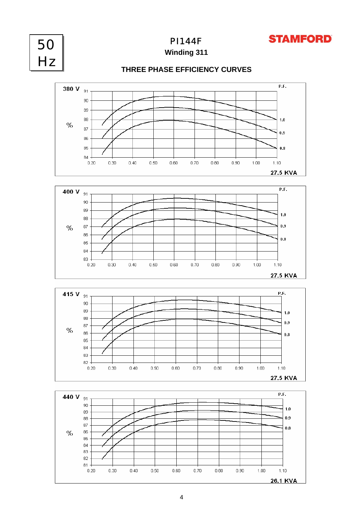

PI144F



**Winding 311**

## **THREE PHASE EFFICIENCY CURVES**







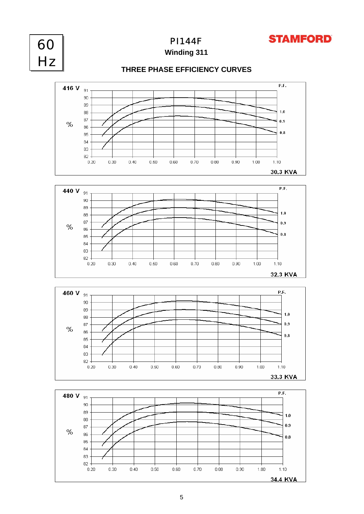



PI144F

**Winding 311**

## **THREE PHASE EFFICIENCY CURVES**







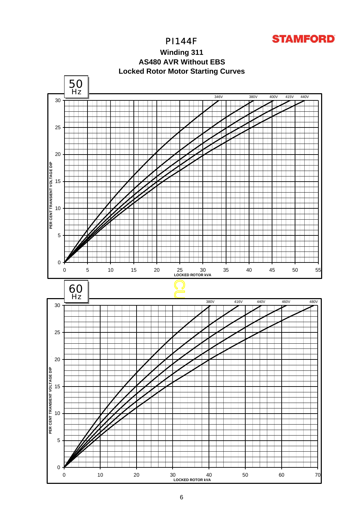

**Winding 311 Locked Rotor Motor Starting Curves AS480 AVR Without EBS**

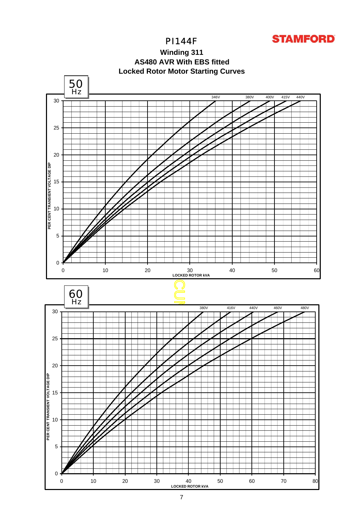

**Winding 311 Locked Rotor Motor Starting Curves AS480 AVR With EBS fitted**

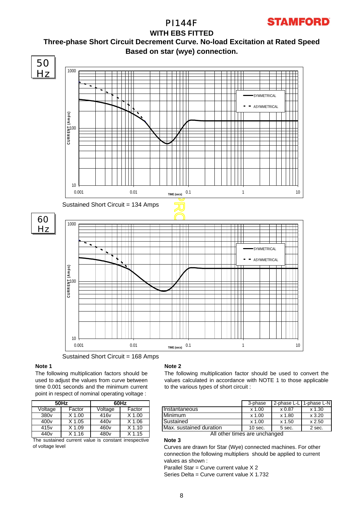**Three-phase Short Circuit Decrement Curve. No-load Excitation at Rated Speed Based on star (wye) connection. WITH EBS FITTED**



Sustained Short Circuit = 168 Amps

### **Note 1**

The following multiplication factors should be used to adjust the values from curve between time 0.001 seconds and the minimum current point in respect of nominal operating voltage :

|                                                      | 50Hz              | 60Hz             |                   |  |  |  |  |  |
|------------------------------------------------------|-------------------|------------------|-------------------|--|--|--|--|--|
| Voltage                                              | Factor            | Voltage          | Factor            |  |  |  |  |  |
| 380 <sub>v</sub>                                     | $X$ 1.00          | 416 <sub>v</sub> | $X$ 1.00          |  |  |  |  |  |
| 400 <sub>v</sub>                                     | $X$ 1.05          | 440 <sub>v</sub> | $X$ 1.06          |  |  |  |  |  |
| 415 <sub>v</sub>                                     | X 1.09            | 460 <sub>v</sub> | $X$ 1.10          |  |  |  |  |  |
| 440 <sub>v</sub>                                     | X <sub>1.16</sub> | 480 <sub>v</sub> | X <sub>1.15</sub> |  |  |  |  |  |
| The sustained current value is constant irrespective |                   |                  |                   |  |  |  |  |  |

ent value is constant irrespe of voltage level

### **Note 2**

The following multiplication factor should be used to convert the values calculated in accordance with NOTE 1 to those applicable to the various types of short circuit :

| 60Hz |        |                         | 3-phase   | 2-phase L-L   | 1-phase L-N |
|------|--------|-------------------------|-----------|---------------|-------------|
| ge   | Factor | Instantaneous           | $x$ 1.00  | $\times 0.87$ | $x$ 1.30    |
| v    | 1.00   | Minimum                 | $x$ 1.00  | x 1.80        | x3.20       |
|      | 1.06   | Sustained               | $x$ 1.00  | x 1.50        | x 2.50      |
|      | K 1.10 | Max. sustained duration | $10$ sec. | 5 sec.        | 2 sec.      |

All other times are unchanged

**Note 3** Curves are drawn for Star (Wye) connected machines. For other connection the following multipliers should be applied to current values as shown :

Parallel Star = Curve current value X 2

Series Delta = Curve current value X 1.732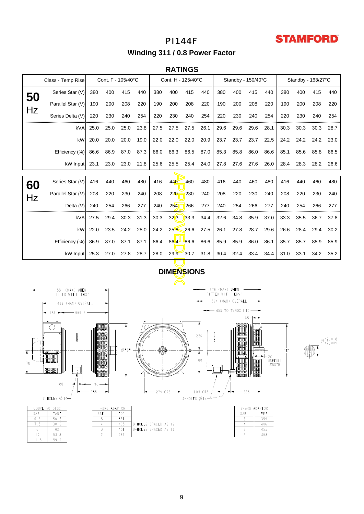# **STAMFORD**

# PI144F

**Winding 311 / 0.8 Power Factor**

### **RATINGS**

|                                                                            | Class - Temp Rise | Cont. F - 105/40°C |        |      |      |      | Cont. H - 125/40°C |      |      |      | Standby - 150/40°C |       | Standby - 163/27°C |      |      |      |                  |
|----------------------------------------------------------------------------|-------------------|--------------------|--------|------|------|------|--------------------|------|------|------|--------------------|-------|--------------------|------|------|------|------------------|
| 50                                                                         | Series Star (V)   | 380                | 400    | 415  | 440  | 380  | 400                | 415  | 440  | 380  | 400                | 415   | 440                | 380  | 400  | 415  | 440              |
|                                                                            | Parallel Star (V) | 190                | 200    | 208  | 220  | 190  | 200                | 208  | 220  | 190  | 200                | 208   | 220                | 190  | 200  | 208  | 220              |
| Hz                                                                         | Series Delta (V)  | 220                | 230    | 240  | 254  | 220  | 230                | 240  | 254  | 220  | 230                | 240   | 254                | 220  | 230  | 240  | 254              |
|                                                                            | kVA               | 25.0               | 25.0   | 25.0 | 23.8 | 27.5 | 27.5               | 27.5 | 26.1 | 29.6 | 29.6               | 29.6  | 28.1               | 30.3 | 30.3 | 30.3 | 28.7             |
|                                                                            | kW                | 20.0               | 20.0   | 20.0 | 19.0 | 22.0 | 22.0               | 22.0 | 20.9 | 23.7 | 23.7               | 23.7  | 22.5               | 24.2 | 24.2 | 24.2 | 23.0             |
|                                                                            | Efficiency (%)    | 86.6               | 86.9   | 87.0 | 87.3 | 86.0 | 86.3               | 86.5 | 87.0 | 85.3 | 85.8               | 86.0  | 86.6               | 85.1 | 85.6 | 85.8 | 86.5             |
|                                                                            | kW Input          | 23.1               | 23.0   | 23.0 | 21.8 | 25.6 | 25.5               | 25.4 | 24.0 | 27.8 | 27.6               | 27.6  | 26.0               | 28.4 | 28.3 | 28.2 | 26.6             |
|                                                                            |                   |                    |        |      |      |      |                    |      |      |      |                    |       |                    |      |      |      |                  |
| 60                                                                         | Series Star (V)   | 416                | 440    | 460  | 480  | 416  | 440                | 460  | 480  | 416  | 440                | 460   | 480                | 416  | 440  | 460  | 480              |
| Hz                                                                         | Parallel Star (V) | 208                | 220    | 230  | 240  | 208  | 220                | 230  | 240  | 208  | 220                | 230   | 240                | 208  | 220  | 230  | 240              |
|                                                                            | Delta (V)         | 240                | 254    | 266  | 277  | 240  | 254                | 266  | 277  | 240  | 254                | 266   | 277                | 240  | 254  | 266  | 277              |
|                                                                            | kVA               | 27.5               | 29.4   | 30.3 | 31.3 | 30.3 | 32 <sub>1</sub> 3  | 33.3 | 34.4 | 32.6 | 34.8               | 35.9  | 37.0               | 33.3 | 35.5 | 36.7 | 37.8             |
|                                                                            | kW                | 22.0               | 23.5   | 24.2 | 25.0 | 24.2 | 25.8               | 26.6 | 27.5 | 26.1 | 27.8               | 28.7  | 29.6               | 26.6 | 28.4 | 29.4 | 30.2             |
|                                                                            | Efficiency (%)    | 86.9               | 87.0   | 87.1 | 87.1 | 86.4 | 86.4               | 86.6 | 86.6 | 85.9 | 85.9               | 86.0  | 86.1               | 85.7 | 85.7 | 85.9 | 85.9             |
|                                                                            | kW Input          | 25.3               | 27.0   | 27.8 | 28.7 | 28.0 | 29.9               | 30.7 | 31.8 | 30.4 | 32.4               | 33.4  | 34.4               | 31.0 | 33.1 | 34.2 | 35.2             |
| <b>DIMENSIONS</b>                                                          |                   |                    |        |      |      |      |                    |      |      |      |                    |       |                    |      |      |      |                  |
|                                                                            |                   |                    |        |      |      |      |                    |      |      |      |                    |       |                    |      |      |      |                  |
| 676 (MAX) WHEN<br>581 (MAX) WHEN<br>FITTED WITH 'EBS'<br>FITTED WITH 'EBS' |                   |                    |        |      |      |      |                    |      |      |      |                    |       |                    |      |      |      |                  |
| — 594 (MAX) OVERALL —<br>499 (MAX) OVERALL                                 |                   |                    |        |      |      |      |                    |      |      |      |                    |       |                    |      |      |      |                  |
| $-$ 455 to t/box Lid $\longrightarrow$<br>$36 -$<br>359.5                  |                   |                    |        |      |      |      |                    |      |      |      |                    |       |                    |      |      |      |                  |
| 65 -                                                                       |                   |                    |        |      |      |      |                    |      |      |      |                    |       |                    |      |      |      |                  |
|                                                                            |                   |                    |        |      |      |      |                    |      |      |      |                    |       |                    |      |      |      |                  |
|                                                                            |                   |                    | 999999 |      |      |      |                    |      | 220  |      | nannnar            | loooo |                    |      |      |      | $ \alpha$ 42,018 |

# **DIMENSIONS**